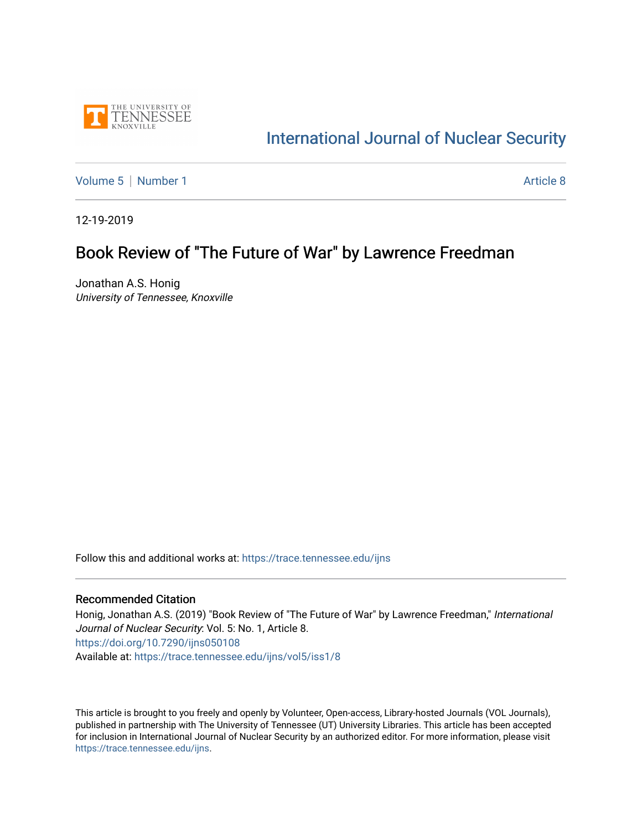

## [International Journal of Nuclear Security](https://trace.tennessee.edu/ijns)

[Volume 5](https://trace.tennessee.edu/ijns/vol5) | [Number 1](https://trace.tennessee.edu/ijns/vol5/iss1) Article 8

12-19-2019

#### Book Review of "The Future of War" by Lawrence Freedman

Jonathan A.S. Honig University of Tennessee, Knoxville

Follow this and additional works at: [https://trace.tennessee.edu/ijns](https://trace.tennessee.edu/ijns?utm_source=trace.tennessee.edu%2Fijns%2Fvol5%2Fiss1%2F8&utm_medium=PDF&utm_campaign=PDFCoverPages) 

#### Recommended Citation

Honig, Jonathan A.S. (2019) "Book Review of "The Future of War" by Lawrence Freedman," International Journal of Nuclear Security: Vol. 5: No. 1, Article 8. <https://doi.org/10.7290/ijns050108> Available at: [https://trace.tennessee.edu/ijns/vol5/iss1/8](https://trace.tennessee.edu/ijns/vol5/iss1/8?utm_source=trace.tennessee.edu%2Fijns%2Fvol5%2Fiss1%2F8&utm_medium=PDF&utm_campaign=PDFCoverPages) 

This article is brought to you freely and openly by Volunteer, Open-access, Library-hosted Journals (VOL Journals), published in partnership with The University of Tennessee (UT) University Libraries. This article has been accepted for inclusion in International Journal of Nuclear Security by an authorized editor. For more information, please visit [https://trace.tennessee.edu/ijns.](https://trace.tennessee.edu/ijns)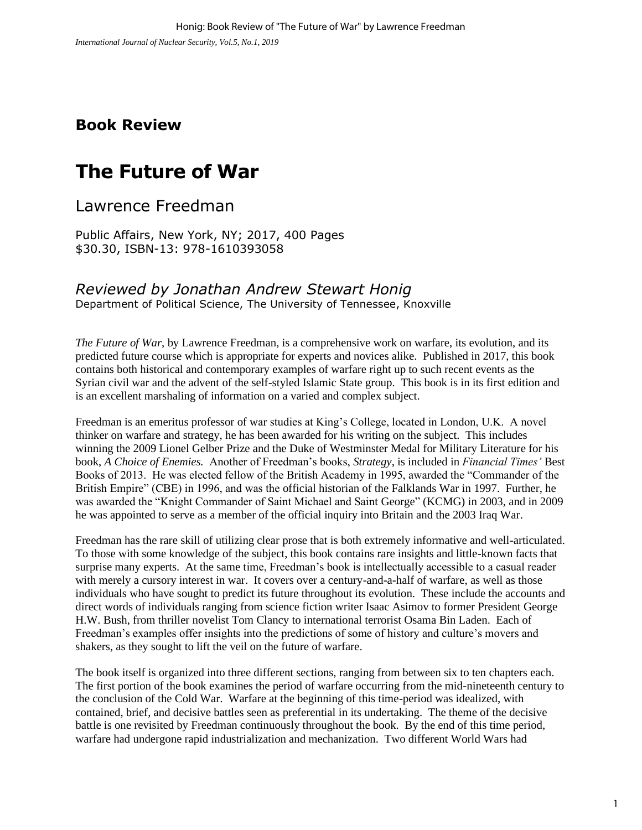### **Book Review**

# **The Future of War**

Lawrence Freedman

Public Affairs, New York, NY; 2017, 400 Pages \$30.30, ISBN-13: 978-1610393058

#### *Reviewed by Jonathan Andrew Stewart Honig*

Department of Political Science, The University of Tennessee, Knoxville

*The Future of War,* by Lawrence Freedman, is a comprehensive work on warfare, its evolution, and its predicted future course which is appropriate for experts and novices alike. Published in 2017, this book contains both historical and contemporary examples of warfare right up to such recent events as the Syrian civil war and the advent of the self-styled Islamic State group. This book is in its first edition and is an excellent marshaling of information on a varied and complex subject.

Freedman is an emeritus professor of war studies at King's College, located in London, U.K. A novel thinker on warfare and strategy, he has been awarded for his writing on the subject. This includes winning the 2009 Lionel Gelber Prize and the Duke of Westminster Medal for Military Literature for his book, *A Choice of Enemies.* Another of Freedman's books, *Strategy*, is included in *Financial Times'* Best Books of 2013. He was elected fellow of the British Academy in 1995, awarded the "Commander of the British Empire" (CBE) in 1996, and was the official historian of the Falklands War in 1997. Further, he was awarded the "Knight Commander of Saint Michael and Saint George" (KCMG) in 2003, and in 2009 he was appointed to serve as a member of the official inquiry into Britain and the 2003 Iraq War.

Freedman has the rare skill of utilizing clear prose that is both extremely informative and well-articulated. To those with some knowledge of the subject, this book contains rare insights and little-known facts that surprise many experts. At the same time, Freedman's book is intellectually accessible to a casual reader with merely a cursory interest in war. It covers over a century-and-a-half of warfare, as well as those individuals who have sought to predict its future throughout its evolution. These include the accounts and direct words of individuals ranging from science fiction writer Isaac Asimov to former President George H.W. Bush, from thriller novelist Tom Clancy to international terrorist Osama Bin Laden. Each of Freedman's examples offer insights into the predictions of some of history and culture's movers and shakers, as they sought to lift the veil on the future of warfare.

The book itself is organized into three different sections, ranging from between six to ten chapters each. The first portion of the book examines the period of warfare occurring from the mid-nineteenth century to the conclusion of the Cold War. Warfare at the beginning of this time-period was idealized, with contained, brief, and decisive battles seen as preferential in its undertaking. The theme of the decisive battle is one revisited by Freedman continuously throughout the book. By the end of this time period, warfare had undergone rapid industrialization and mechanization. Two different World Wars had